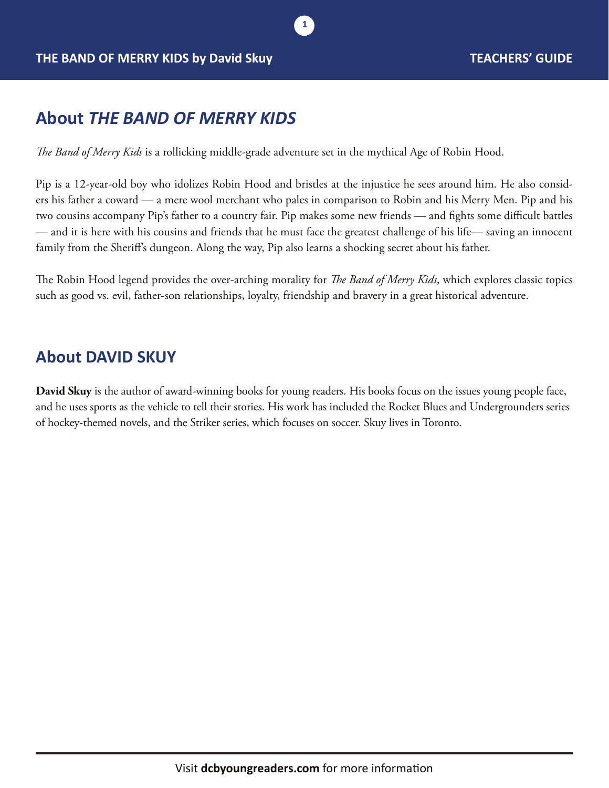## **About** *THE BAND OF MERRY KIDS*

*The Band of Merry Kids* is a rollicking middle-grade adventure set in the mythical Age of Robin Hood.

Pip is a 12-year-old boy who idolizes Robin Hood and bristles at the injustice he sees around him. He also considers his father a coward — a mere wool merchant who pales in comparison to Robin and his Merry Men. Pip and his two cousins accompany Pip's father to a country fair. Pip makes some new friends — and fights some difficult battles — and it is here with his cousins and friends that he must face the greatest challenge of his life— saving an innocent family from the Sheriff's dungeon. Along the way, Pip also learns a shocking secret about his father.

**1**

The Robin Hood legend provides the over-arching morality for *The Band of Merry Kids*, which explores classic topics such as good vs. evil, father-son relationships, loyalty, friendship and bravery in a great historical adventure.

### **About DAVID SKUY**

**David Skuy** is the author of award-winning books for young readers. His books focus on the issues young people face, and he uses sports as the vehicle to tell their stories. His work has included the Rocket Blues and Undergrounders series of hockey-themed novels, and the Striker series, which focuses on soccer. Skuy lives in Toronto.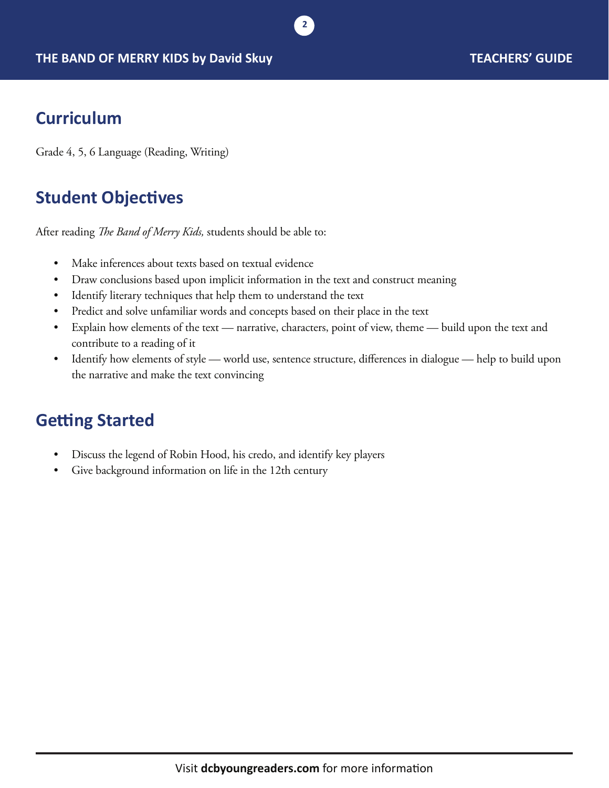## **Curriculum**

Grade 4, 5, 6 Language (Reading, Writing)

# **Student Objectives**

After reading *The Band of Merry Kids,* students should be able to:

- Make inferences about texts based on textual evidence
- Draw conclusions based upon implicit information in the text and construct meaning
- Identify literary techniques that help them to understand the text
- • Predict and solve unfamiliar words and concepts based on their place in the text
- • Explain how elements of the text narrative, characters, point of view, theme build upon the text and contribute to a reading of it

**2**

• Identify how elements of style — world use, sentence structure, differences in dialogue — help to build upon the narrative and make the text convincing

## **Getting Started**

- Discuss the legend of Robin Hood, his credo, and identify key players
- Give background information on life in the 12th century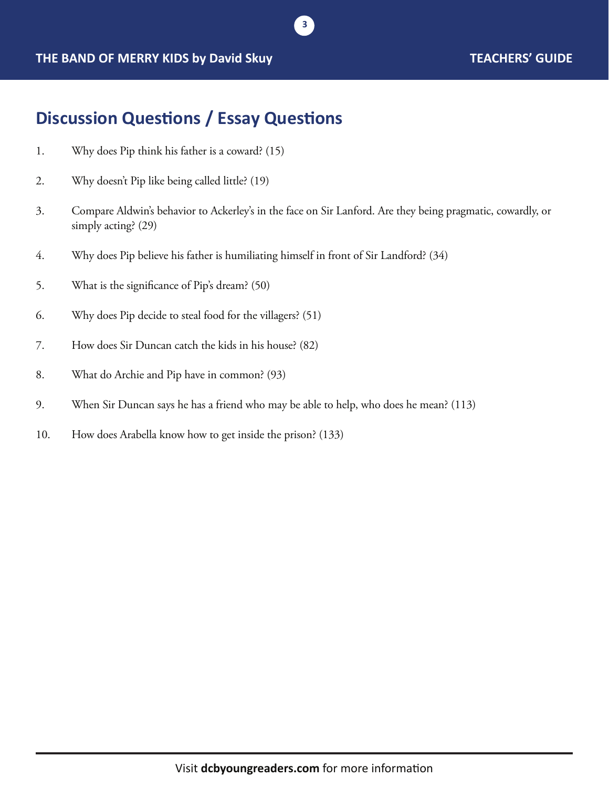#### **THE BAND OF MERRY KIDS by David Skuy TEACHERS' GUIDE**

## **Discussion Questions / Essay Questions**

- 1. Why does Pip think his father is a coward? (15)
- 2. Why doesn't Pip like being called little? (19)
- 3. Compare Aldwin's behavior to Ackerley's in the face on Sir Lanford. Are they being pragmatic, cowardly, or simply acting? (29)

**3**

- 4. Why does Pip believe his father is humiliating himself in front of Sir Landford? (34)
- 5. What is the significance of Pip's dream? (50)
- 6. Why does Pip decide to steal food for the villagers? (51)
- 7. How does Sir Duncan catch the kids in his house? (82)
- 8. What do Archie and Pip have in common? (93)
- 9. When Sir Duncan says he has a friend who may be able to help, who does he mean? (113)
- 10. How does Arabella know how to get inside the prison? (133)